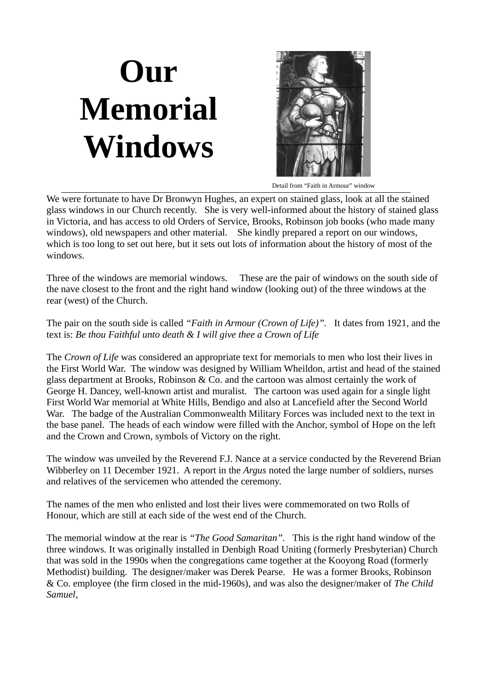## **Our Memorial Windows**



Detail from "Faith in Armour" window

We were fortunate to have Dr Bronwyn Hughes, an expert on stained glass, look at all the stained glass windows in our Church recently. She is very well-informed about the history of stained glass in Victoria, and has access to old Orders of Service, Brooks, Robinson job books (who made many windows), old newspapers and other material. She kindly prepared a report on our windows, which is too long to set out here, but it sets out lots of information about the history of most of the windows.

Three of the windows are memorial windows. These are the pair of windows on the south side of the nave closest to the front and the right hand window (looking out) of the three windows at the rear (west) of the Church.

The pair on the south side is called *"Faith in Armour (Crown of Life)".* It dates from 1921, and the text is: *Be thou Faithful unto death & I will give thee a Crown of Life*

The *Crown of Life* was considered an appropriate text for memorials to men who lost their lives in the First World War. The window was designed by William Wheildon, artist and head of the stained glass department at Brooks, Robinson & Co. and the cartoon was almost certainly the work of George H. Dancey, well-known artist and muralist. The cartoon was used again for a single light First World War memorial at White Hills, Bendigo and also at Lancefield after the Second World War. The badge of the Australian Commonwealth Military Forces was included next to the text in the base panel. The heads of each window were filled with the Anchor, symbol of Hope on the left and the Crown and Crown, symbols of Victory on the right.

The window was unveiled by the Reverend F.J. Nance at a service conducted by the Reverend Brian Wibberley on 11 December 1921. A report in the *Argus* noted the large number of soldiers, nurses and relatives of the servicemen who attended the ceremony.

The names of the men who enlisted and lost their lives were commemorated on two Rolls of Honour, which are still at each side of the west end of the Church.

The memorial window at the rear is *"The Good Samaritan".* This is the right hand window of the three windows*.* It was originally installed in Denbigh Road Uniting (formerly Presbyterian) Church that was sold in the 1990s when the congregations came together at the Kooyong Road (formerly Methodist) building. The designer/maker was Derek Pearse. He was a former Brooks, Robinson & Co. employee (the firm closed in the mid-1960s), and was also the designer/maker of *The Child Samuel*,